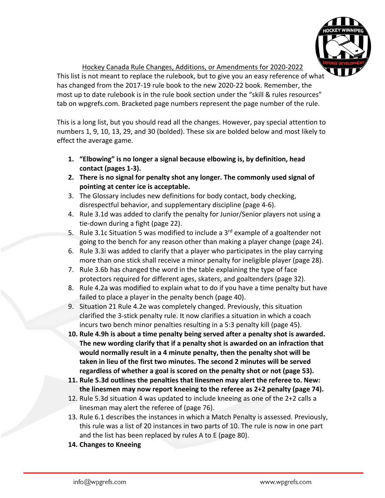

Hockey Canada Rule Changes, Additions, or Amendments for 2020-2022

This list is not meant to replace the rulebook, but to give you an easy reference of what has changed from the 2017-19 rule book to the new 2020-22 book. Remember, the most up to date rulebook is in the rule book section under the "skill & rules resources" tab on wpgrefs.com. Bracketed page numbers represent the page number of the rule.

This is a long list, but you should read all the changes. However, pay special attention to numbers 1, 9, 10, 13, 29, and 30 (bolded). These six are bolded below and most likely to effect the average game.

- **1. "Elbowing" is no longer a signal because elbowing is, by definition, head contact (pages 1-3).**
- **2. There is no signal for penalty shot any longer. The commonly used signal of pointing at center ice is acceptable.**
- 3. The Glossary includes new definitions for body contact, body checking, disrespectful behavior, and supplementary discipline (page 4-6).
- 4. Rule 3.1d was added to clarify the penalty for Junior/Senior players not using a tie-down during a fight (page 22).
- 5. Rule 3.1c Situation 5 was modified to include a  $3<sup>rd</sup>$  example of a goaltender not going to the bench for any reason other than making a player change (page 24).
- 6. Rule 3.3i was added to clarify that a player who participates in the play carrying more than one stick shall receive a minor penalty for ineligible player (page 28).
- 7. Rule 3.6b has changed the word in the table explaining the type of face protectors required for different ages, skaters, and goaltenders (page 32).
- 8. Rule 4.2a was modified to explain what to do if you have a time penalty but have failed to place a player in the penalty bench (page 40).
- 9. Situation 21 Rule 4.2e was completely changed. Previously, this situation clarified the 3-stick penalty rule. It now clarifies a situation in which a coach incurs two bench minor penalties resulting in a 5:3 penalty kill (page 45).
- **10. Rule 4.9h is about a time penalty being served after a penalty shot is awarded. The new wording clarify that if a penalty shot is awarded on an infraction that would normally result in a 4 minute penalty, then the penalty shot will be taken in lieu of the first two minutes. The second 2 minutes will be served regardless of whether a goal is scored on the penalty shot or not (page 53).**
- **11. Rule 5.3d outlines the penalties that linesmen may alert the referee to. New: the linesmen may now report kneeing to the referee as 2+2 penalty (page 74).**
- 12. Rule 5.3d situation 4 was updated to include kneeing as one of the 2+2 calls a linesman may alert the referee of (page 76).
- 13. Rule 6.1 describes the instances in which a Match Penalty is assessed. Previously, this rule was a list of 20 instances in two parts of 10. The rule is now in one part and the list has been replaced by rules A to E (page 80).
- **14. Changes to Kneeing**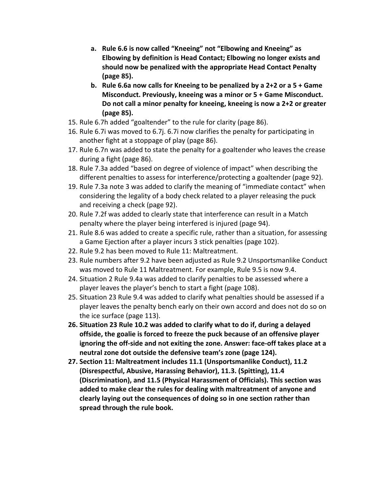- **a. Rule 6.6 is now called "Kneeing" not "Elbowing and Kneeing" as Elbowing by definition is Head Contact; Elbowing no longer exists and should now be penalized with the appropriate Head Contact Penalty (page 85).**
- **b. Rule 6.6a now calls for Kneeing to be penalized by a 2+2 or a 5 + Game Misconduct. Previously, kneeing was a minor or 5 + Game Misconduct. Do not call a minor penalty for kneeing, kneeing is now a 2+2 or greater (page 85).**
- 15. Rule 6.7h added "goaltender" to the rule for clarity (page 86).
- 16. Rule 6.7i was moved to 6.7j. 6.7i now clarifies the penalty for participating in another fight at a stoppage of play (page 86).
- 17. Rule 6.7n was added to state the penalty for a goaltender who leaves the crease during a fight (page 86).
- 18. Rule 7.3a added "based on degree of violence of impact" when describing the different penalties to assess for interference/protecting a goaltender (page 92).
- 19. Rule 7.3a note 3 was added to clarify the meaning of "immediate contact" when considering the legality of a body check related to a player releasing the puck and receiving a check (page 92).
- 20. Rule 7.2f was added to clearly state that interference can result in a Match penalty where the player being interfered is injured (page 94).
- 21. Rule 8.6 was added to create a specific rule, rather than a situation, for assessing a Game Ejection after a player incurs 3 stick penalties (page 102).
- 22. Rule 9.2 has been moved to Rule 11: Maltreatment.
- 23. Rule numbers after 9.2 have been adjusted as Rule 9.2 Unsportsmanlike Conduct was moved to Rule 11 Maltreatment. For example, Rule 9.5 is now 9.4.
- 24. Situation 2 Rule 9.4a was added to clarify penalties to be assessed where a player leaves the player's bench to start a fight (page 108).
- 25. Situation 23 Rule 9.4 was added to clarify what penalties should be assessed if a player leaves the penalty bench early on their own accord and does not do so on the ice surface (page 113).
- **26. Situation 23 Rule 10.2 was added to clarify what to do if, during a delayed offside, the goalie is forced to freeze the puck because of an offensive player ignoring the off-side and not exiting the zone. Answer: face-off takes place at a neutral zone dot outside the defensive team's zone (page 124).**
- **27. Section 11: Maltreatment includes 11.1 (Unsportsmanlike Conduct), 11.2 (Disrespectful, Abusive, Harassing Behavior), 11.3. (Spitting), 11.4 (Discrimination), and 11.5 (Physical Harassment of Officials). This section was added to make clear the rules for dealing with maltreatment of anyone and clearly laying out the consequences of doing so in one section rather than spread through the rule book.**